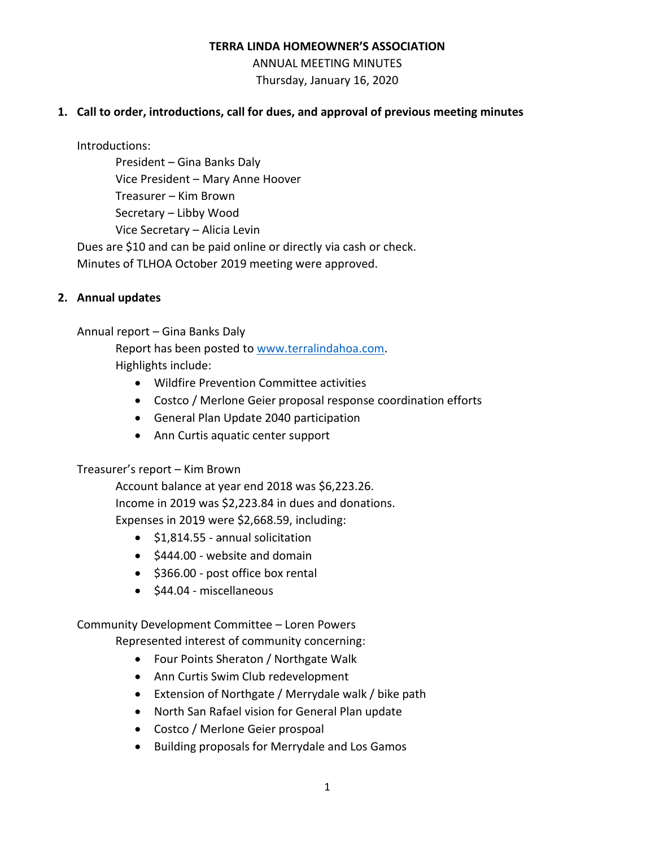#### **TERRA LINDA HOMEOWNER'S ASSOCIATION**

ANNUAL MEETING MINUTES Thursday, January 16, 2020

## **1. Call to order, introductions, call for dues, and approval of previous meeting minutes**

Introductions:

President – Gina Banks Daly Vice President – Mary Anne Hoover Treasurer – Kim Brown Secretary – Libby Wood Vice Secretary – Alicia Levin Dues are \$10 and can be paid online or directly via cash or check. Minutes of TLHOA October 2019 meeting were approved.

# **2. Annual updates**

Annual report – Gina Banks Daly

Report has been posted to [www.terralindahoa.com.](http://www.terralindahoa.com/) Highlights include:

- Wildfire Prevention Committee activities
- Costco / Merlone Geier proposal response coordination efforts
- General Plan Update 2040 participation
- Ann Curtis aquatic center support

### Treasurer's report – Kim Brown

Account balance at year end 2018 was \$6,223.26. Income in 2019 was \$2,223.84 in dues and donations. Expenses in 2019 were \$2,668.59, including:

- \$1,814.55 annual solicitation
- \$444.00 website and domain
- \$366.00 post office box rental
- \$44.04 miscellaneous

# Community Development Committee – Loren Powers

Represented interest of community concerning:

- Four Points Sheraton / Northgate Walk
- Ann Curtis Swim Club redevelopment
- Extension of Northgate / Merrydale walk / bike path
- North San Rafael vision for General Plan update
- Costco / Merlone Geier prospoal
- Building proposals for Merrydale and Los Gamos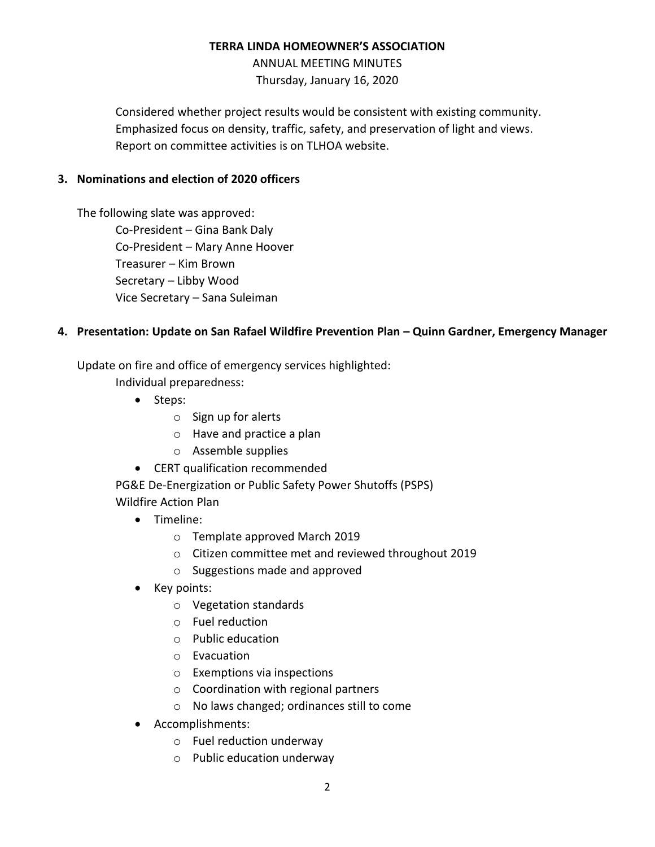## **TERRA LINDA HOMEOWNER'S ASSOCIATION**

ANNUAL MEETING MINUTES Thursday, January 16, 2020

Considered whether project results would be consistent with existing community. Emphasized focus on density, traffic, safety, and preservation of light and views. Report on committee activities is on TLHOA website.

# **3. Nominations and election of 2020 officers**

The following slate was approved: Co-President – Gina Bank Daly Co-President – Mary Anne Hoover Treasurer – Kim Brown Secretary – Libby Wood Vice Secretary – Sana Suleiman

# **4. Presentation: Update on San Rafael Wildfire Prevention Plan – Quinn Gardner, Emergency Manager**

Update on fire and office of emergency services highlighted:

Individual preparedness:

- Steps:
	- o Sign up for alerts
	- o Have and practice a plan
	- o Assemble supplies
- CERT qualification recommended

PG&E De-Energization or Public Safety Power Shutoffs (PSPS) Wildfire Action Plan

- Timeline:
	- o Template approved March 2019
	- o Citizen committee met and reviewed throughout 2019
	- o Suggestions made and approved
- Key points:
	- o Vegetation standards
	- o Fuel reduction
	- o Public education
	- o Evacuation
	- o Exemptions via inspections
	- o Coordination with regional partners
	- o No laws changed; ordinances still to come
- Accomplishments:
	- o Fuel reduction underway
	- o Public education underway